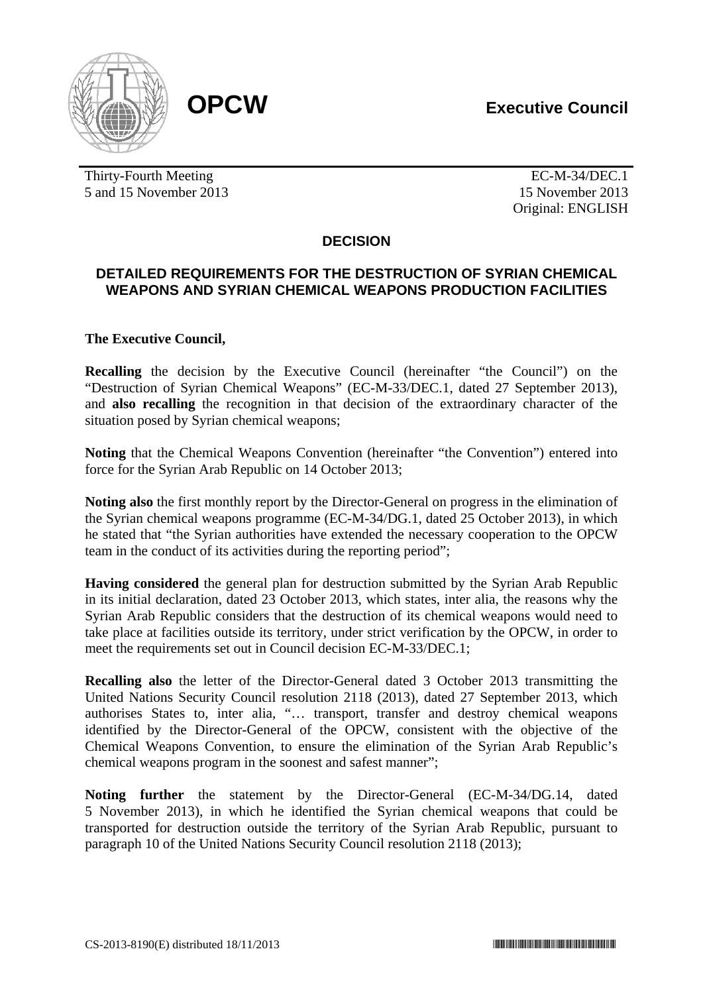



Thirty-Fourth Meeting **EC-M-34/DEC.1** 5 and 15 November 2013 15 November 2013

Original: ENGLISH

# **DECISION**

# **DETAILED REQUIREMENTS FOR THE DESTRUCTION OF SYRIAN CHEMICAL WEAPONS AND SYRIAN CHEMICAL WEAPONS PRODUCTION FACILITIES**

## **The Executive Council,**

**Recalling** the decision by the Executive Council (hereinafter "the Council") on the "Destruction of Syrian Chemical Weapons" (EC-M-33/DEC.1, dated 27 September 2013), and **also recalling** the recognition in that decision of the extraordinary character of the situation posed by Syrian chemical weapons;

**Noting** that the Chemical Weapons Convention (hereinafter "the Convention") entered into force for the Syrian Arab Republic on 14 October 2013;

**Noting also** the first monthly report by the Director-General on progress in the elimination of the Syrian chemical weapons programme (EC-M-34/DG.1, dated 25 October 2013), in which he stated that "the Syrian authorities have extended the necessary cooperation to the OPCW team in the conduct of its activities during the reporting period";

**Having considered** the general plan for destruction submitted by the Syrian Arab Republic in its initial declaration, dated 23 October 2013, which states, inter alia, the reasons why the Syrian Arab Republic considers that the destruction of its chemical weapons would need to take place at facilities outside its territory, under strict verification by the OPCW, in order to meet the requirements set out in Council decision EC-M-33/DEC.1;

**Recalling also** the letter of the Director-General dated 3 October 2013 transmitting the United Nations Security Council resolution 2118 (2013), dated 27 September 2013, which authorises States to, inter alia, "… transport, transfer and destroy chemical weapons identified by the Director-General of the OPCW, consistent with the objective of the Chemical Weapons Convention, to ensure the elimination of the Syrian Arab Republic's chemical weapons program in the soonest and safest manner";

**Noting further** the statement by the Director-General (EC-M-34/DG.14, dated 5 November 2013), in which he identified the Syrian chemical weapons that could be transported for destruction outside the territory of the Syrian Arab Republic, pursuant to paragraph 10 of the United Nations Security Council resolution 2118 (2013);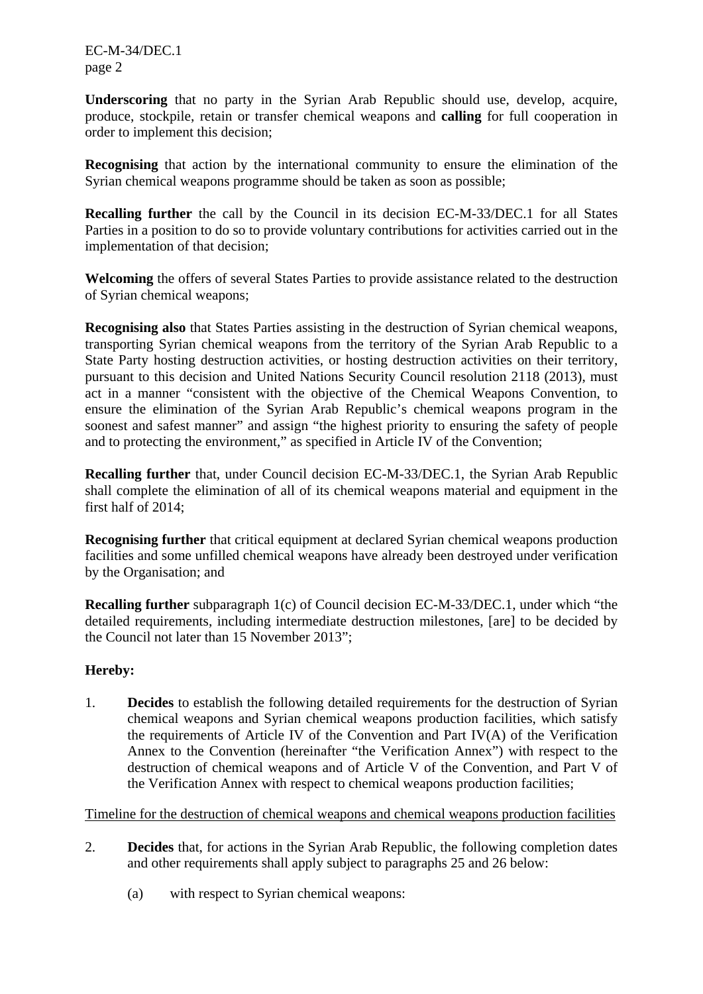EC-M-34/DEC.1 page 2

**Underscoring** that no party in the Syrian Arab Republic should use, develop, acquire, produce, stockpile, retain or transfer chemical weapons and **calling** for full cooperation in order to implement this decision;

**Recognising** that action by the international community to ensure the elimination of the Syrian chemical weapons programme should be taken as soon as possible;

**Recalling further** the call by the Council in its decision EC-M-33/DEC.1 for all States Parties in a position to do so to provide voluntary contributions for activities carried out in the implementation of that decision;

**Welcoming** the offers of several States Parties to provide assistance related to the destruction of Syrian chemical weapons;

**Recognising also** that States Parties assisting in the destruction of Syrian chemical weapons, transporting Syrian chemical weapons from the territory of the Syrian Arab Republic to a State Party hosting destruction activities, or hosting destruction activities on their territory, pursuant to this decision and United Nations Security Council resolution 2118 (2013), must act in a manner "consistent with the objective of the Chemical Weapons Convention, to ensure the elimination of the Syrian Arab Republic's chemical weapons program in the soonest and safest manner" and assign "the highest priority to ensuring the safety of people and to protecting the environment," as specified in Article IV of the Convention;

**Recalling further** that, under Council decision EC-M-33/DEC.1, the Syrian Arab Republic shall complete the elimination of all of its chemical weapons material and equipment in the first half of 2014;

**Recognising further** that critical equipment at declared Syrian chemical weapons production facilities and some unfilled chemical weapons have already been destroyed under verification by the Organisation; and

**Recalling further** subparagraph 1(c) of Council decision EC-M-33/DEC.1, under which "the detailed requirements, including intermediate destruction milestones, [are] to be decided by the Council not later than 15 November 2013";

#### **Hereby:**

1. **Decides** to establish the following detailed requirements for the destruction of Syrian chemical weapons and Syrian chemical weapons production facilities, which satisfy the requirements of Article IV of the Convention and Part IV(A) of the Verification Annex to the Convention (hereinafter "the Verification Annex") with respect to the destruction of chemical weapons and of Article V of the Convention, and Part V of the Verification Annex with respect to chemical weapons production facilities;

#### Timeline for the destruction of chemical weapons and chemical weapons production facilities

- 2. **Decides** that, for actions in the Syrian Arab Republic, the following completion dates and other requirements shall apply subject to paragraphs 25 and 26 below:
	- (a) with respect to Syrian chemical weapons: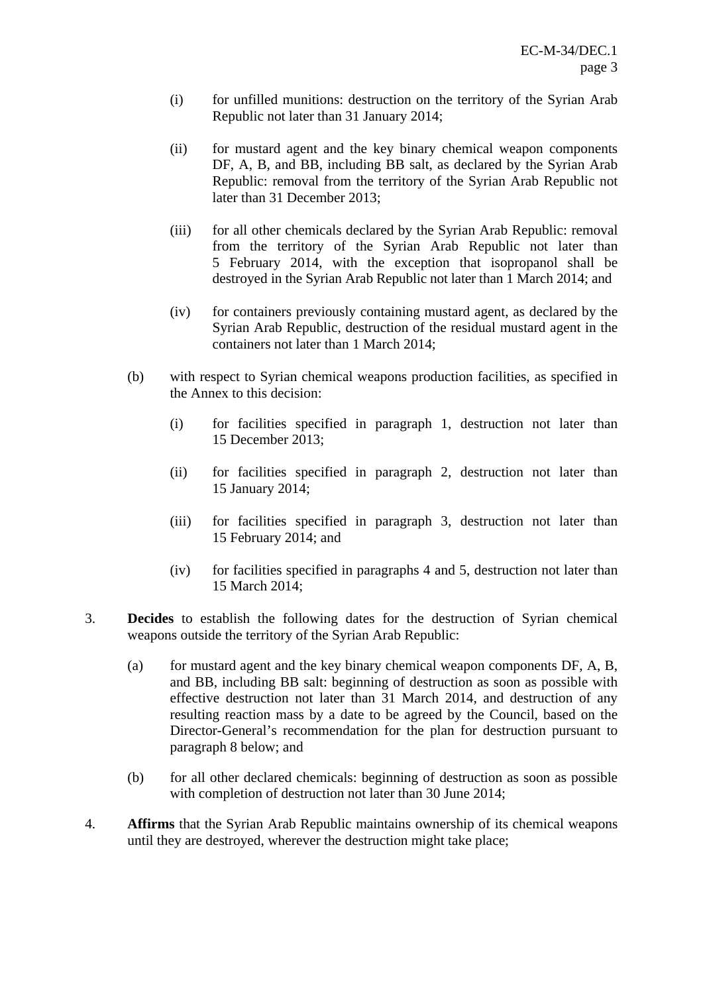- (i) for unfilled munitions: destruction on the territory of the Syrian Arab Republic not later than 31 January 2014;
- (ii) for mustard agent and the key binary chemical weapon components DF, A, B, and BB, including BB salt, as declared by the Syrian Arab Republic: removal from the territory of the Syrian Arab Republic not later than 31 December 2013;
- (iii) for all other chemicals declared by the Syrian Arab Republic: removal from the territory of the Syrian Arab Republic not later than 5 February 2014, with the exception that isopropanol shall be destroyed in the Syrian Arab Republic not later than 1 March 2014; and
- (iv) for containers previously containing mustard agent, as declared by the Syrian Arab Republic, destruction of the residual mustard agent in the containers not later than 1 March 2014;
- (b) with respect to Syrian chemical weapons production facilities, as specified in the Annex to this decision:
	- (i) for facilities specified in paragraph 1, destruction not later than 15 December 2013;
	- (ii) for facilities specified in paragraph 2, destruction not later than 15 January 2014;
	- (iii) for facilities specified in paragraph 3, destruction not later than 15 February 2014; and
	- (iv) for facilities specified in paragraphs 4 and 5, destruction not later than 15 March 2014;
- 3. **Decides** to establish the following dates for the destruction of Syrian chemical weapons outside the territory of the Syrian Arab Republic:
	- (a) for mustard agent and the key binary chemical weapon components DF, A, B, and BB, including BB salt: beginning of destruction as soon as possible with effective destruction not later than 31 March 2014, and destruction of any resulting reaction mass by a date to be agreed by the Council, based on the Director-General's recommendation for the plan for destruction pursuant to paragraph 8 below; and
	- (b) for all other declared chemicals: beginning of destruction as soon as possible with completion of destruction not later than 30 June 2014;
- 4. **Affirms** that the Syrian Arab Republic maintains ownership of its chemical weapons until they are destroyed, wherever the destruction might take place;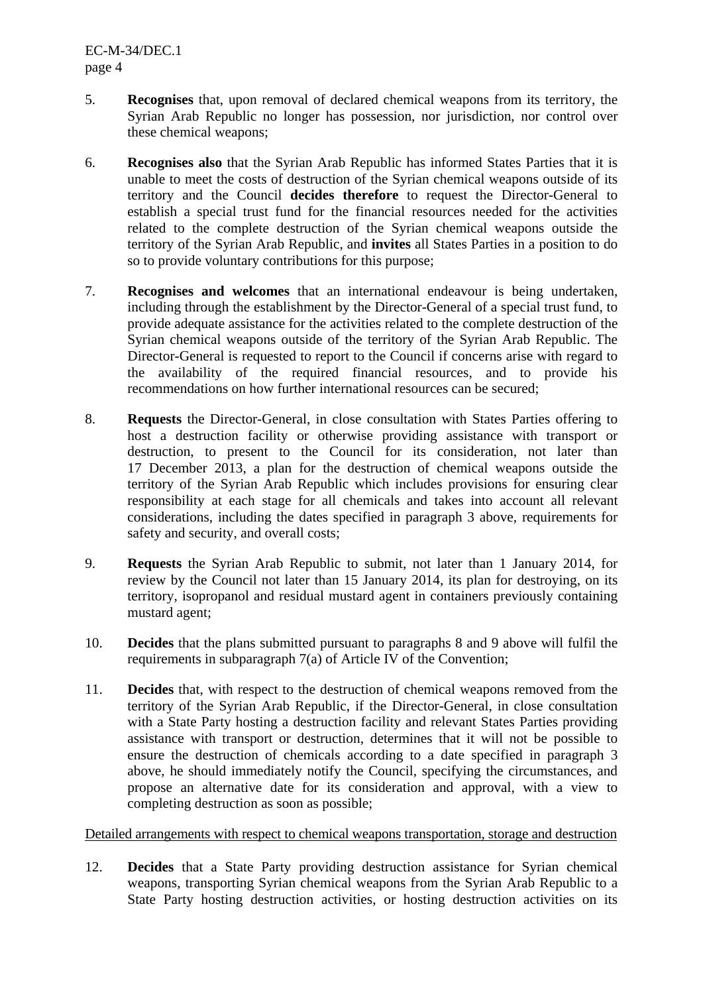- 5. **Recognises** that, upon removal of declared chemical weapons from its territory, the Syrian Arab Republic no longer has possession, nor jurisdiction, nor control over these chemical weapons;
- 6. **Recognises also** that the Syrian Arab Republic has informed States Parties that it is unable to meet the costs of destruction of the Syrian chemical weapons outside of its territory and the Council **decides therefore** to request the Director-General to establish a special trust fund for the financial resources needed for the activities related to the complete destruction of the Syrian chemical weapons outside the territory of the Syrian Arab Republic, and **invites** all States Parties in a position to do so to provide voluntary contributions for this purpose;
- 7. **Recognises and welcomes** that an international endeavour is being undertaken, including through the establishment by the Director-General of a special trust fund, to provide adequate assistance for the activities related to the complete destruction of the Syrian chemical weapons outside of the territory of the Syrian Arab Republic. The Director-General is requested to report to the Council if concerns arise with regard to the availability of the required financial resources, and to provide his recommendations on how further international resources can be secured;
- 8. **Requests** the Director-General, in close consultation with States Parties offering to host a destruction facility or otherwise providing assistance with transport or destruction, to present to the Council for its consideration, not later than 17 December 2013, a plan for the destruction of chemical weapons outside the territory of the Syrian Arab Republic which includes provisions for ensuring clear responsibility at each stage for all chemicals and takes into account all relevant considerations, including the dates specified in paragraph 3 above, requirements for safety and security, and overall costs;
- 9. **Requests** the Syrian Arab Republic to submit, not later than 1 January 2014, for review by the Council not later than 15 January 2014, its plan for destroying, on its territory, isopropanol and residual mustard agent in containers previously containing mustard agent;
- 10. **Decides** that the plans submitted pursuant to paragraphs 8 and 9 above will fulfil the requirements in subparagraph 7(a) of Article IV of the Convention;
- 11. **Decides** that, with respect to the destruction of chemical weapons removed from the territory of the Syrian Arab Republic, if the Director-General, in close consultation with a State Party hosting a destruction facility and relevant States Parties providing assistance with transport or destruction, determines that it will not be possible to ensure the destruction of chemicals according to a date specified in paragraph 3 above, he should immediately notify the Council, specifying the circumstances, and propose an alternative date for its consideration and approval, with a view to completing destruction as soon as possible;

#### Detailed arrangements with respect to chemical weapons transportation, storage and destruction

12. **Decides** that a State Party providing destruction assistance for Syrian chemical weapons, transporting Syrian chemical weapons from the Syrian Arab Republic to a State Party hosting destruction activities, or hosting destruction activities on its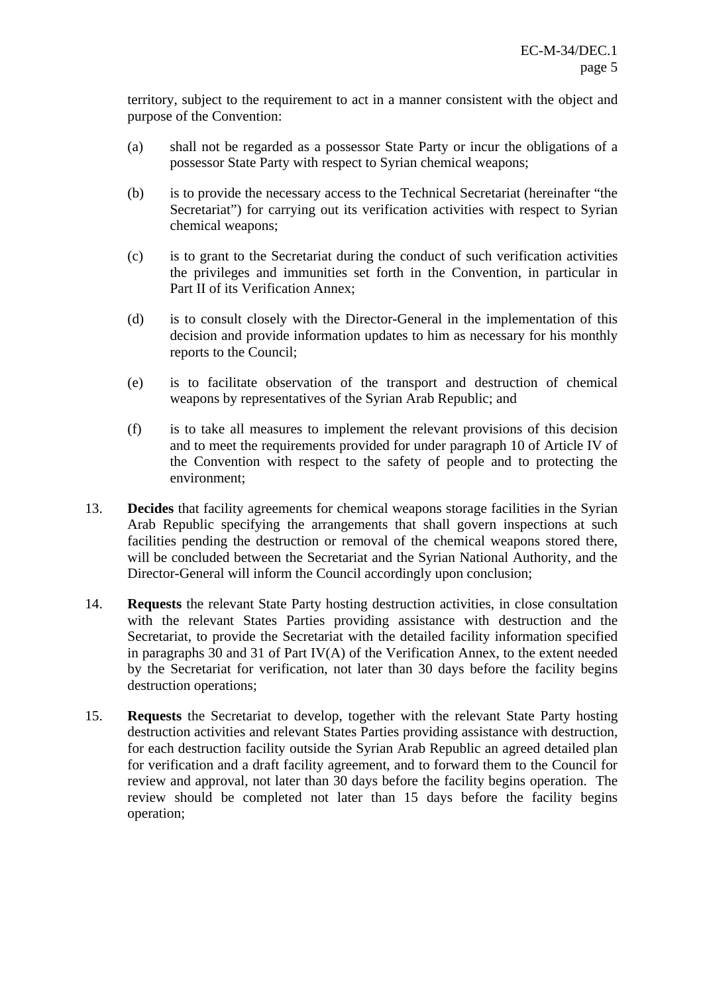territory, subject to the requirement to act in a manner consistent with the object and purpose of the Convention:

- (a) shall not be regarded as a possessor State Party or incur the obligations of a possessor State Party with respect to Syrian chemical weapons;
- (b) is to provide the necessary access to the Technical Secretariat (hereinafter "the Secretariat") for carrying out its verification activities with respect to Syrian chemical weapons;
- (c) is to grant to the Secretariat during the conduct of such verification activities the privileges and immunities set forth in the Convention, in particular in Part II of its Verification Annex;
- (d) is to consult closely with the Director-General in the implementation of this decision and provide information updates to him as necessary for his monthly reports to the Council;
- (e) is to facilitate observation of the transport and destruction of chemical weapons by representatives of the Syrian Arab Republic; and
- (f) is to take all measures to implement the relevant provisions of this decision and to meet the requirements provided for under paragraph 10 of Article IV of the Convention with respect to the safety of people and to protecting the environment;
- 13. **Decides** that facility agreements for chemical weapons storage facilities in the Syrian Arab Republic specifying the arrangements that shall govern inspections at such facilities pending the destruction or removal of the chemical weapons stored there, will be concluded between the Secretariat and the Syrian National Authority, and the Director-General will inform the Council accordingly upon conclusion;
- 14. **Requests** the relevant State Party hosting destruction activities, in close consultation with the relevant States Parties providing assistance with destruction and the Secretariat, to provide the Secretariat with the detailed facility information specified in paragraphs 30 and 31 of Part IV(A) of the Verification Annex, to the extent needed by the Secretariat for verification, not later than 30 days before the facility begins destruction operations;
- 15. **Requests** the Secretariat to develop, together with the relevant State Party hosting destruction activities and relevant States Parties providing assistance with destruction, for each destruction facility outside the Syrian Arab Republic an agreed detailed plan for verification and a draft facility agreement, and to forward them to the Council for review and approval, not later than 30 days before the facility begins operation. The review should be completed not later than 15 days before the facility begins operation;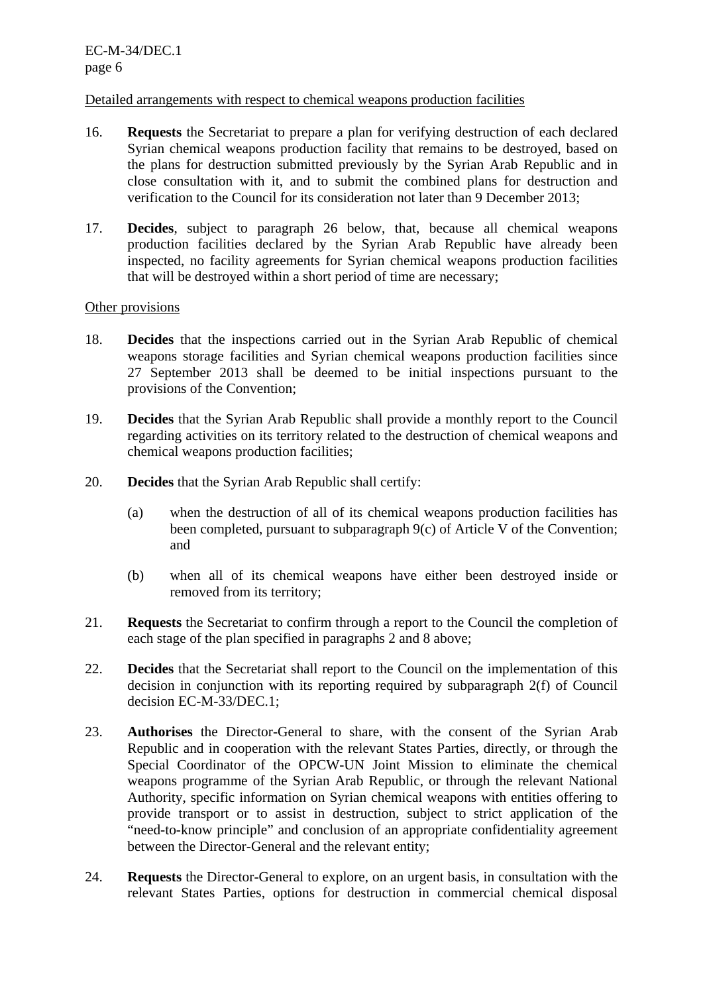### Detailed arrangements with respect to chemical weapons production facilities

- 16. **Requests** the Secretariat to prepare a plan for verifying destruction of each declared Syrian chemical weapons production facility that remains to be destroyed, based on the plans for destruction submitted previously by the Syrian Arab Republic and in close consultation with it, and to submit the combined plans for destruction and verification to the Council for its consideration not later than 9 December 2013;
- 17. **Decides**, subject to paragraph 26 below, that, because all chemical weapons production facilities declared by the Syrian Arab Republic have already been inspected, no facility agreements for Syrian chemical weapons production facilities that will be destroyed within a short period of time are necessary;

# Other provisions

- 18. **Decides** that the inspections carried out in the Syrian Arab Republic of chemical weapons storage facilities and Syrian chemical weapons production facilities since 27 September 2013 shall be deemed to be initial inspections pursuant to the provisions of the Convention;
- 19. **Decides** that the Syrian Arab Republic shall provide a monthly report to the Council regarding activities on its territory related to the destruction of chemical weapons and chemical weapons production facilities;
- 20. **Decides** that the Syrian Arab Republic shall certify:
	- (a) when the destruction of all of its chemical weapons production facilities has been completed, pursuant to subparagraph 9(c) of Article V of the Convention; and
	- (b) when all of its chemical weapons have either been destroyed inside or removed from its territory;
- 21. **Requests** the Secretariat to confirm through a report to the Council the completion of each stage of the plan specified in paragraphs 2 and 8 above;
- 22. **Decides** that the Secretariat shall report to the Council on the implementation of this decision in conjunction with its reporting required by subparagraph 2(f) of Council decision EC-M-33/DEC.1;
- 23. **Authorises** the Director-General to share, with the consent of the Syrian Arab Republic and in cooperation with the relevant States Parties, directly, or through the Special Coordinator of the OPCW-UN Joint Mission to eliminate the chemical weapons programme of the Syrian Arab Republic, or through the relevant National Authority, specific information on Syrian chemical weapons with entities offering to provide transport or to assist in destruction, subject to strict application of the "need-to-know principle" and conclusion of an appropriate confidentiality agreement between the Director-General and the relevant entity;
- 24. **Requests** the Director-General to explore, on an urgent basis, in consultation with the relevant States Parties, options for destruction in commercial chemical disposal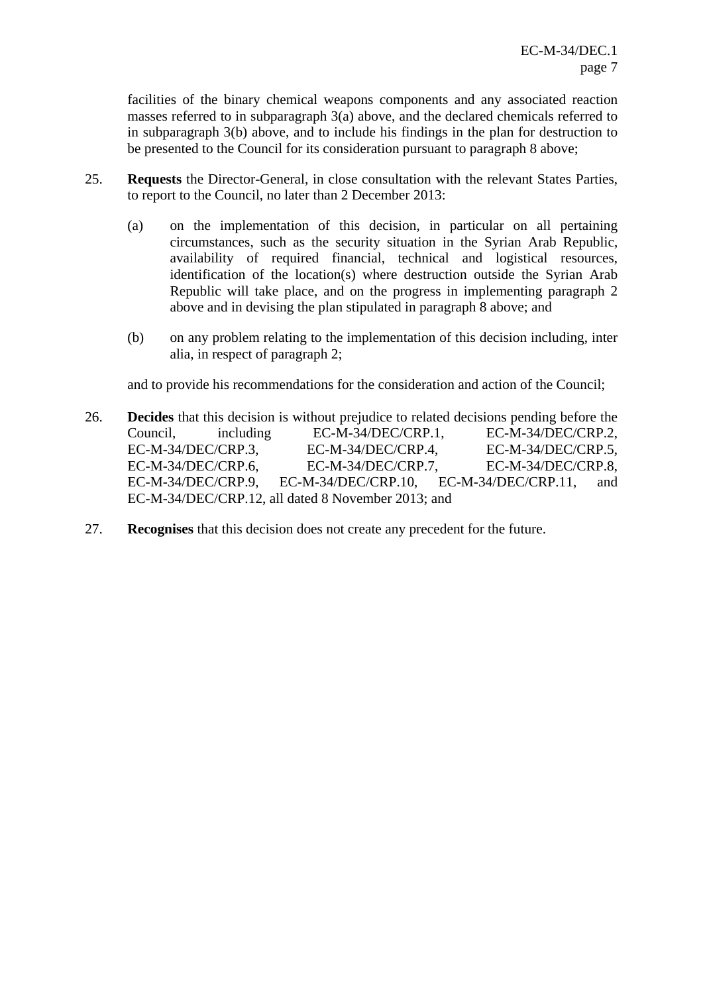facilities of the binary chemical weapons components and any associated reaction masses referred to in subparagraph 3(a) above, and the declared chemicals referred to in subparagraph 3(b) above, and to include his findings in the plan for destruction to be presented to the Council for its consideration pursuant to paragraph 8 above;

- 25. **Requests** the Director-General, in close consultation with the relevant States Parties, to report to the Council, no later than 2 December 2013:
	- (a) on the implementation of this decision, in particular on all pertaining circumstances, such as the security situation in the Syrian Arab Republic, availability of required financial, technical and logistical resources, identification of the location(s) where destruction outside the Syrian Arab Republic will take place, and on the progress in implementing paragraph 2 above and in devising the plan stipulated in paragraph 8 above; and
	- (b) on any problem relating to the implementation of this decision including, inter alia, in respect of paragraph 2;

and to provide his recommendations for the consideration and action of the Council;

- 26. **Decides** that this decision is without prejudice to related decisions pending before the Council, including EC-M-34/DEC/CRP.1, EC-M-34/DEC/CRP.2, EC-M-34/DEC/CRP.3, EC-M-34/DEC/CRP.4, EC-M-34/DEC/CRP.5, EC-M-34/DEC/CRP.6, EC-M-34/DEC/CRP.7, EC-M-34/DEC/CRP.8, EC-M-34/DEC/CRP.9, EC-M-34/DEC/CRP.10, EC-M-34/DEC/CRP.11, and EC-M-34/DEC/CRP.12, all dated 8 November 2013; and
- 27. **Recognises** that this decision does not create any precedent for the future.